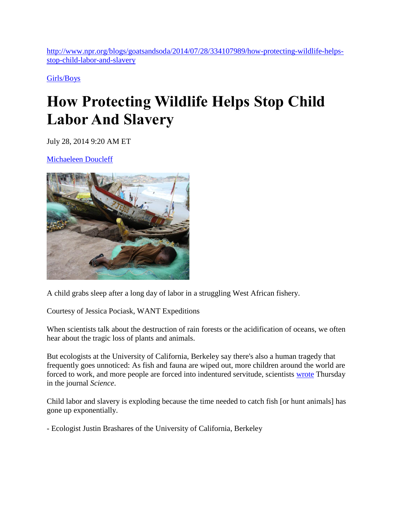[http://www.npr.org/blogs/goatsandsoda/2014/07/28/334107989/how-protecting-wildlife-helps](http://www.npr.org/blogs/goatsandsoda/2014/07/28/334107989/how-protecting-wildlife-helps-stop-child-labor-and-slavery)[stop-child-labor-and-slavery](http://www.npr.org/blogs/goatsandsoda/2014/07/28/334107989/how-protecting-wildlife-helps-stop-child-labor-and-slavery)

[Girls/Boys](http://www.npr.org/blogs/goatsandsoda/329599397/girls-boys)

## **How Protecting Wildlife Helps Stop Child Labor And Slavery**

July 28, 2014 9:20 AM ET

[Michaeleen Doucleff](http://www.npr.org/people/348778932/michaeleen-doucleff) 



A child grabs sleep after a long day of labor in a struggling West African fishery.

Courtesy of Jessica Pociask, WANT Expeditions

When scientists talk about the destruction of rain forests or the acidification of oceans, we often hear about the tragic loss of plants and animals.

But ecologists at the University of California, Berkeley say there's also a human tragedy that frequently goes unnoticed: As fish and fauna are wiped out, more children around the world are forced to work, and more people are forced into indentured servitude, scientists [wrote](http://www.sciencemag.org/content/345/6195/376.summary) Thursday in the journal *Science*.

Child labor and slavery is exploding because the time needed to catch fish [or hunt animals] has gone up exponentially.

- Ecologist Justin Brashares of the University of California, Berkeley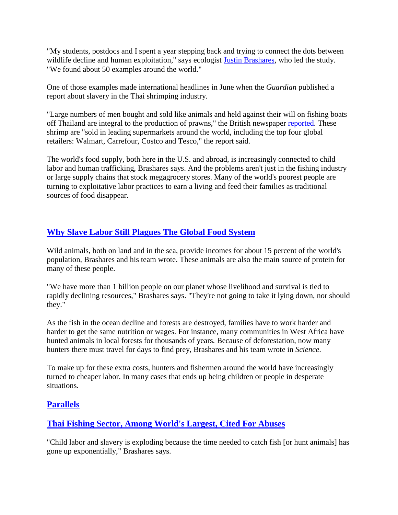"My students, postdocs and I spent a year stepping back and trying to connect the dots between wildlife decline and human exploitation," says ecologist [Justin Brashares,](http://cnr.berkeley.edu/BrasharesLab/) who led the study. "We found about 50 examples around the world."

One of those examples made international headlines in June when the *Guardian* published a report about slavery in the Thai shrimping industry.

"Large numbers of men bought and sold like animals and held against their will on fishing boats off Thailand are integral to the production of prawns," the British newspaper [reported.](http://www.theguardian.com/global-development/2014/jun/10/supermarket-prawns-thailand-produced-slave-labour) These shrimp are "sold in leading supermarkets around the world, including the top four global retailers: Walmart, Carrefour, Costco and Tesco," the report said.

The world's food supply, both here in the U.S. and abroad, is increasingly connected to child labor and human trafficking, Brashares says. And the problems aren't just in the fishing industry or large supply chains that stock megagrocery stores. Many of the world's poorest people are turning to exploitative labor practices to earn a living and feed their families as traditional sources of food disappear.

## **[Why Slave Labor Still Plagues The Global Food System](http://www.npr.org/blogs/thesalt/2013/06/19/193548623/why-slave-labor-still-plagues-the-global-food-system)**

Wild animals, both on land and in the sea, provide incomes for about 15 percent of the world's population, Brashares and his team wrote. These animals are also the main source of protein for many of these people.

"We have more than 1 billion people on our planet whose livelihood and survival is tied to rapidly declining resources," Brashares says. "They're not going to take it lying down, nor should they."

As the fish in the ocean decline and forests are destroyed, families have to work harder and harder to get the same nutrition or wages. For instance, many communities in West Africa have hunted animals in local forests for thousands of years*.* Because of deforestation, now many hunters there must travel for days to find prey, Brashares and his team wrote in *Science*.

To make up for these extra costs, hunters and fishermen around the world have increasingly turned to cheaper labor. In many cases that ends up being children or people in desperate situations.

## **[Parallels](http://www.npr.org/blogs/parallels/)**

## **[Thai Fishing Sector, Among World's Largest, Cited For Abuses](http://www.npr.org/blogs/parallels/2013/09/03/218558466/thai-fishing-sector-among-worlds-largest-cited-for-abuses)**

"Child labor and slavery is exploding because the time needed to catch fish [or hunt animals] has gone up exponentially," Brashares says.